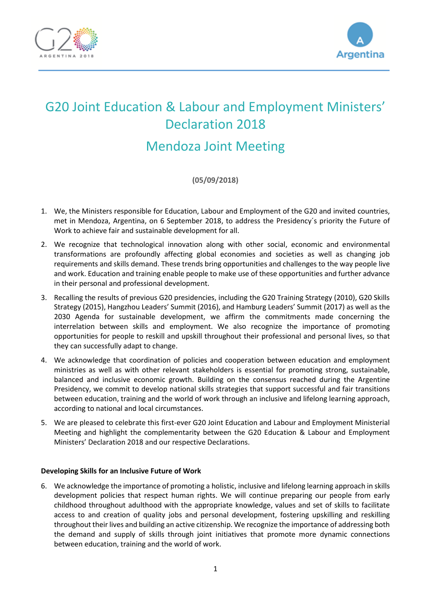



# G20 Joint Education & Labour and Employment Ministers' Declaration 2018

# Mendoza Joint Meeting

**(05/09/2018)**

- 1. We, the Ministers responsible for Education, Labour and Employment of the G20 and invited countries, met in Mendoza, Argentina, on 6 September 2018, to address the Presidency´s priority the Future of Work to achieve fair and sustainable development for all.
- 2. We recognize that technological innovation along with other social, economic and environmental transformations are profoundly affecting global economies and societies as well as changing job requirements and skills demand. These trends bring opportunities and challenges to the way people live and work. Education and training enable people to make use of these opportunities and further advance in their personal and professional development.
- 3. Recalling the results of previous G20 presidencies, including the G20 Training Strategy (2010), G20 Skills Strategy (2015), Hangzhou Leaders' Summit (2016), and Hamburg Leaders' Summit (2017) as well as the 2030 Agenda for sustainable development, we affirm the commitments made concerning the interrelation between skills and employment. We also recognize the importance of promoting opportunities for people to reskill and upskill throughout their professional and personal lives, so that they can successfully adapt to change.
- 4. We acknowledge that coordination of policies and cooperation between education and employment ministries as well as with other relevant stakeholders is essential for promoting strong, sustainable, balanced and inclusive economic growth. Building on the consensus reached during the Argentine Presidency, we commit to develop national skills strategies that support successful and fair transitions between education, training and the world of work through an inclusive and lifelong learning approach, according to national and local circumstances.
- 5. We are pleased to celebrate this first-ever G20 Joint Education and Labour and Employment Ministerial Meeting and highlight the complementarity between the G20 Education & Labour and Employment Ministers' Declaration 2018 and our respective Declarations.

### **Developing Skills for an Inclusive Future of Work**

6. We acknowledge the importance of promoting a holistic, inclusive and lifelong learning approach in skills development policies that respect human rights. We will continue preparing our people from early childhood throughout adulthood with the appropriate knowledge, values and set of skills to facilitate access to and creation of quality jobs and personal development, fostering upskilling and reskilling throughout their lives and building an active citizenship. We recognize the importance of addressing both the demand and supply of skills through joint initiatives that promote more dynamic connections between education, training and the world of work.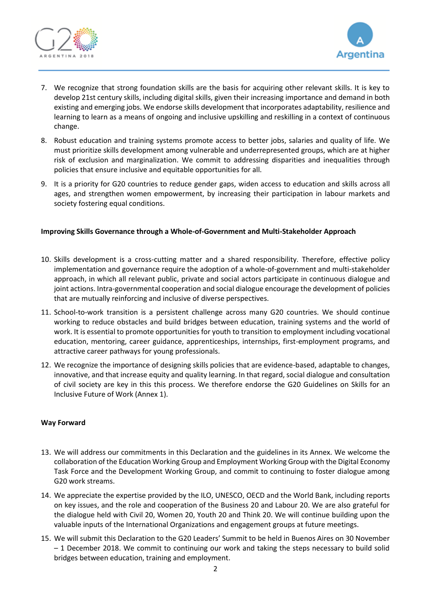



- 7. We recognize that strong foundation skills are the basis for acquiring other relevant skills. It is key to develop 21st century skills, including digital skills, given their increasing importance and demand in both existing and emerging jobs. We endorse skills development that incorporates adaptability, resilience and learning to learn as a means of ongoing and inclusive upskilling and reskilling in a context of continuous change.
- 8. Robust education and training systems promote access to better jobs, salaries and quality of life. We must prioritize skills development among vulnerable and underrepresented groups, which are at higher risk of exclusion and marginalization. We commit to addressing disparities and inequalities through policies that ensure inclusive and equitable opportunities for all.
- 9. It is a priority for G20 countries to reduce gender gaps, widen access to education and skills across all ages, and strengthen women empowerment, by increasing their participation in labour markets and society fostering equal conditions.

### **Improving Skills Governance through a Whole-of-Government and Multi-Stakeholder Approach**

- 10. Skills development is a cross-cutting matter and a shared responsibility. Therefore, effective policy implementation and governance require the adoption of a whole-of-government and multi-stakeholder approach, in which all relevant public, private and social actors participate in continuous dialogue and joint actions. Intra-governmental cooperation and social dialogue encourage the development of policies that are mutually reinforcing and inclusive of diverse perspectives.
- 11. School-to-work transition is a persistent challenge across many G20 countries. We should continue working to reduce obstacles and build bridges between education, training systems and the world of work. It is essential to promote opportunities for youth to transition to employment including vocational education, mentoring, career guidance, apprenticeships, internships, first-employment programs, and attractive career pathways for young professionals.
- 12. We recognize the importance of designing skills policies that are evidence-based, adaptable to changes, innovative, and that increase equity and quality learning. In that regard, social dialogue and consultation of civil society are key in this this process. We therefore endorse the G20 Guidelines on Skills for an Inclusive Future of Work (Annex 1).

#### **Way Forward**

- 13. We will address our commitments in this Declaration and the guidelines in its Annex. We welcome the collaboration of the Education Working Group and Employment Working Group with the Digital Economy Task Force and the Development Working Group, and commit to continuing to foster dialogue among G20 work streams.
- 14. We appreciate the expertise provided by the ILO, UNESCO, OECD and the World Bank, including reports on key issues, and the role and cooperation of the Business 20 and Labour 20. We are also grateful for the dialogue held with Civil 20, Women 20, Youth 20 and Think 20. We will continue building upon the valuable inputs of the International Organizations and engagement groups at future meetings.
- 15. We will submit this Declaration to the G20 Leaders' Summit to be held in Buenos Aires on 30 November – 1 December 2018. We commit to continuing our work and taking the steps necessary to build solid bridges between education, training and employment.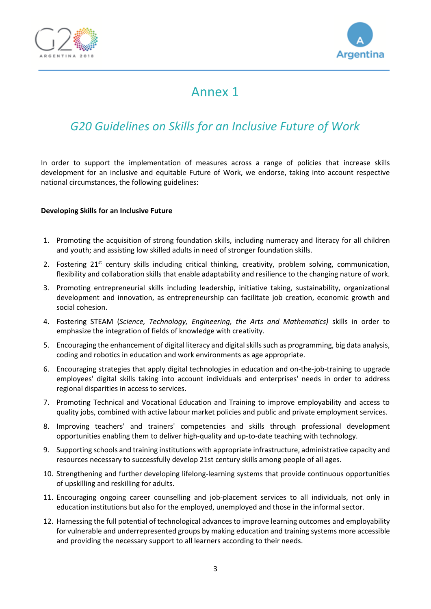



# Annex 1

# *G20 Guidelines on Skills for an Inclusive Future of Work*

In order to support the implementation of measures across a range of policies that increase skills development for an inclusive and equitable Future of Work, we endorse, taking into account respective national circumstances, the following guidelines:

### **Developing Skills for an Inclusive Future**

- 1. Promoting the acquisition of strong foundation skills, including numeracy and literacy for all children and youth; and assisting low skilled adults in need of stronger foundation skills.
- 2. Fostering 21<sup>st</sup> century skills including critical thinking, creativity, problem solving, communication, flexibility and collaboration skills that enable adaptability and resilience to the changing nature of work.
- 3. Promoting entrepreneurial skills including leadership, initiative taking, sustainability, organizational development and innovation, as entrepreneurship can facilitate job creation, economic growth and social cohesion.
- 4. Fostering STEAM (*Science, Technology, Engineering, the Arts and Mathematics)* skills in order to emphasize the integration of fields of knowledge with creativity.
- 5. Encouraging the enhancement of digital literacy and digital skills such as programming, big data analysis, coding and robotics in education and work environments as age appropriate.
- 6. Encouraging strategies that apply digital technologies in education and on-the-job-training to upgrade employees' digital skills taking into account individuals and enterprises' needs in order to address regional disparities in access to services.
- 7. Promoting Technical and Vocational Education and Training to improve employability and access to quality jobs, combined with active labour market policies and public and private employment services.
- 8. Improving teachers' and trainers' competencies and skills through professional development opportunities enabling them to deliver high-quality and up-to-date teaching with technology.
- 9. Supporting schools and training institutions with appropriate infrastructure, administrative capacity and resources necessary to successfully develop 21st century skills among people of all ages.
- 10. Strengthening and further developing lifelong-learning systems that provide continuous opportunities of upskilling and reskilling for adults.
- 11. Encouraging ongoing career counselling and job-placement services to all individuals, not only in education institutions but also for the employed, unemployed and those in the informal sector.
- 12. Harnessing the full potential of technological advances to improve learning outcomes and employability for vulnerable and underrepresented groups by making education and training systems more accessible and providing the necessary support to all learners according to their needs.